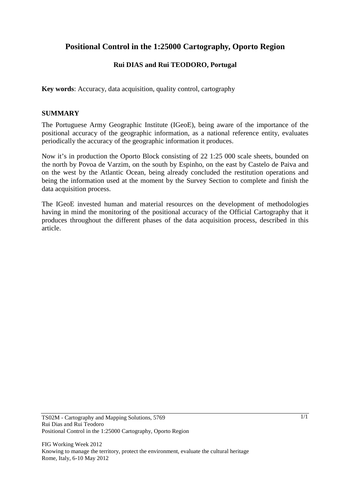# **Positional Control in the 1:25000 Cartography, Oporto Region**

# **Rui DIAS and Rui TEODORO, Portugal**

**Key words**: Accuracy, data acquisition, quality control, cartography

### **SUMMARY**

The Portuguese Army Geographic Institute (IGeoE), being aware of the importance of the positional accuracy of the geographic information, as a national reference entity, evaluates periodically the accuracy of the geographic information it produces.

Now it's in production the Oporto Block consisting of 22 1:25 000 scale sheets, bounded on the north by Povoa de Varzim, on the south by Espinho, on the east by Castelo de Paiva and on the west by the Atlantic Ocean, being already concluded the restitution operations and being the information used at the moment by the Survey Section to complete and finish the data acquisition process.

The IGeoE invested human and material resources on the development of methodologies having in mind the monitoring of the positional accuracy of the Official Cartography that it produces throughout the different phases of the data acquisition process, described in this article.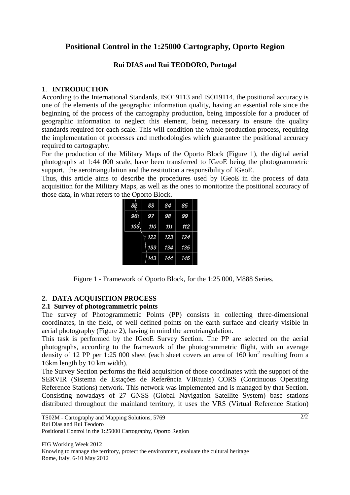# **Positional Control in the 1:25000 Cartography, Oporto Region**

# **Rui DIAS and Rui TEODORO, Portugal**

## 1. **INTRODUCTION**

According to the International Standards, ISO19113 and ISO19114, the positional accuracy is one of the elements of the geographic information quality, having an essential role since the beginning of the process of the cartography production, being impossible for a producer of geographic information to neglect this element, being necessary to ensure the quality standards required for each scale. This will condition the whole production process, requiring the implementation of processes and methodologies which guarantee the positional accuracy required to cartography.

For the production of the Military Maps of the Oporto Block (Figure 1), the digital aerial photographs at 1:44 000 scale, have been transferred to IGeoE being the photogrammetric support, the aerotriangulation and the restitution a responsibility of IGeoE.

Thus, this article aims to describe the procedures used by IGeoE in the process of data acquisition for the Military Maps, as well as the ones to monitorize the positional accuracy of those data, in what refers to the Oporto Block.

| 82  | 83  | 84  | 85  |
|-----|-----|-----|-----|
| 96  | 97  | 98  | 99  |
| 109 | 110 | 111 | 112 |
|     | 122 | 123 | 124 |
|     | 133 | 134 | 135 |
|     | 143 | 144 | 145 |

Figure 1 - Framework of Oporto Block, for the 1:25 000, M888 Series.

# **2. DATA ACQUISITION PROCESS**

# **2.1 Survey of photogrammetric points**

The survey of Photogrammetric Points (PP) consists in collecting three-dimensional coordinates, in the field, of well defined points on the earth surface and clearly visible in aerial photography (Figure 2), having in mind the aerotriangulation.

This task is performed by the IGeoE Survey Section. The PP are selected on the aerial photographs, according to the framework of the photogrammetric flight, with an average density of 12 PP per 1:25 000 sheet (each sheet covers an area of 160  $\text{km}^2$  resulting from a 16km length by 10 km width).

The Survey Section performs the field acquisition of those coordinates with the support of the SERVIR (Sistema de Estações de Referência VIRtuais) CORS (Continuous Operating Reference Stations) network. This network was implemented and is managed by that Section. Consisting nowadays of 27 GNSS (Global Navigation Satellite System) base stations distributed throughout the mainland territory, it uses the VRS (Virtual Reference Station)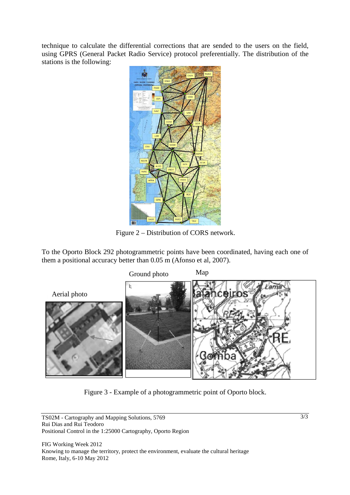technique to calculate the differential corrections that are sended to the users on the field, using GPRS (General Packet Radio Service) protocol preferentially. The distribution of the stations is the following:



Figure 2 – Distribution of CORS network.

To the Oporto Block 292 photogrammetric points have been coordinated, having each one of them a positional accuracy better than 0.05 m (Afonso et al, 2007).



Figure 3 - Example of a photogrammetric point of Oporto block.

TS02M - Cartography and Mapping Solutions, 5769 Rui Dias and Rui Teodoro Positional Control in the 1:25000 Cartography, Oporto Region

FIG Working Week 2012 Knowing to manage the territory, protect the environment, evaluate the cultural heritage Rome, Italy, 6-10 May 2012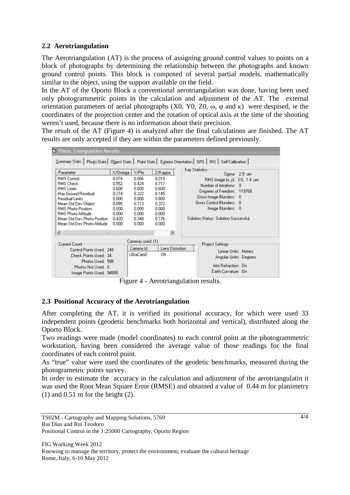# **2.2 Aerotriangulation**

The Aerotriangulation (AT) is the process of assigning ground control values to points on a block of photographs by determining the relationship between the photographs and known ground control points. This block is composed of several partial models, mathematically similar to the object, using the support available on the field.

In the AT of the Oporto Block a conventional aerotriangulation was done, having been used only photogrammetric points in the calculation and adjustment of the AT. The external orientation parameters of aerial photographs  $(X0, Y0, Z0, \omega, \omega)$  and  $\kappa$ ) were despised, ie the coordinates of the projection center and the rotation of optical axis at the time of the shooting weren't used, because there is no information about their precision.

The result of the AT (Figure 4) is analyzed after the final calculations are finished. The AT results are only accepted if they are within the parameters defined previously.

| Parameter                                                                                                                                                                                                                                                                                 | $X/O$ mega                                                                              | Y/Phi                                                                                  | Z/Kappa                                                                                                 | Key Statistics<br>Sigma: 2.9 um                                                                                                                                                                                             |
|-------------------------------------------------------------------------------------------------------------------------------------------------------------------------------------------------------------------------------------------------------------------------------------------|-----------------------------------------------------------------------------------------|----------------------------------------------------------------------------------------|---------------------------------------------------------------------------------------------------------|-----------------------------------------------------------------------------------------------------------------------------------------------------------------------------------------------------------------------------|
| <b>RMS Control</b><br><b>RMS Check</b><br><b>RMS</b> Limits<br>Max Ground Residual<br><b>Residual Limits</b><br>Mean Std Dev Object<br>RMS Photo Position<br><b>RMS Photo Attitude</b><br>Mean Std Dev Photo Position<br>Mean Std Dev Photo Attitude<br>$\left\langle \right\rangle$<br>Ш | 0.074<br>0.552<br>0.600<br>0.274<br>0.800.<br>0.095<br>0.000<br>0.000<br>0.420<br>0.000 | 0.066<br>0.424<br>0.600<br>0.322<br>0.800<br>0.113<br>0.000<br>0.000<br>0.348<br>0.000 | 0.019<br>0.717<br>0.600<br>0.145<br>0.800<br>0.372<br>0.000<br>0.000<br>0.176<br>0.000<br>$\rightarrow$ | RMS Image (x, y): 3.0, 1.4 um<br>Number of iterations: 9<br>Degrees of Freedom: 119768<br>Gross Image Blunders:<br>$\Omega$<br>Gross Control Blunders:<br>- 0<br>Image Blunders: 0<br>Solution Status: Solution Successful. |
| Current Count<br>Control Points Used: 248<br>Check Points Used: 34<br>Photos Used: 588<br>Photos Not Used: 0<br>Image Points Used: 94888                                                                                                                                                  |                                                                                         | Cameras used: [1].<br>Camera Id<br><b>UltraCamD</b>                                    | Lens Distortion<br>Off                                                                                  | Project Settings<br>Linear Units: Meters<br>Angular Units: Degrees<br>Atm Refraction: On<br>Earth Curvature: On                                                                                                             |

Figure 4 - Aerotriangulation results.

# **2.3 Positional Accuracy of the Aerotriangulation**

After completing the AT, it is verified its positional accuracy, for which were used 33 independent points (geodetic benchmarks both horizontal and vertical), distributed along the Oporto Block.

Two readings were made (model coordinates) to each control point at the photogrammetric workstation, having been considered the average value of those readings for the final coordinates of each control point.

As "true" value were used the coordinates of the geodetic benchmarks, measured during the photogrametric points survey.

In order to estimate the accuracy in the calculation and adjustment of the aerotriangulatin it was used the Root Mean Square Error (RMSE) and obtained a value of 0.44 m for planimetry  $(1)$  and  $0.51$  m for the height  $(2)$ .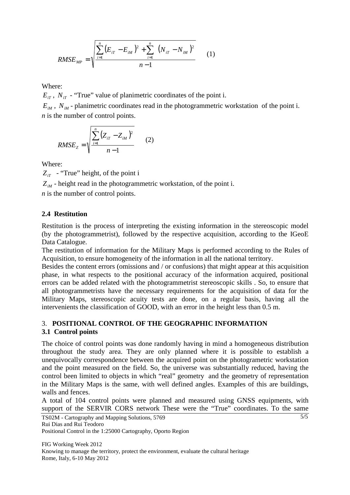$$
RMSE_{MP} = \sqrt{\frac{\sum_{i=1}^{n} (E_{iT} - E_{iM})^2 + \sum_{i=1}^{n} (N_{iT} - N_{iM})^2}{n-1}}
$$
 (1)

Where:

 $E_{\tau T}$ ,  $N_{\tau T}$  - "True" value of planimetric coordinates of the point i.

 $E_{iM}$ ,  $N_{iM}$  - planimetric coordinates read in the photogrammetric workstation of the point i. *n* is the number of control points.

$$
RMSE_{Z} = \sqrt{\frac{\sum_{i=1}^{n} (Z_{iT} - Z_{iM})^{2}}{n-1}}
$$
 (2)

Where:

 $Z_{ir}$  - "True" height, of the point i

 $Z_{M}$  - height read in the photogrammetric workstation, of the point i.

*n* is the number of control points.

## **2.4 Restitution**

Restitution is the process of interpreting the existing information in the stereoscopic model (by the photogrammetrist), followed by the respective acquisition, according to the IGeoE Data Catalogue.

The restitution of information for the Military Maps is performed according to the Rules of Acquisition, to ensure homogeneity of the information in all the national territory.

Besides the content errors (omissions and / or confusions) that might appear at this acquisition phase, in what respects to the positional accuracy of the information acquired, positional errors can be added related with the photogrammetrist stereoscopic skills . So, to ensure that all photogrammetrists have the necessary requirements for the acquisition of data for the Military Maps, stereoscopic acuity tests are done, on a regular basis, having all the intervenients the classification of GOOD, with an error in the height less than 0.5 m.

## 3. **POSITIONAL CONTROL OF THE GEOGRAPHIC INFORMATION 3.1 Control points**

The choice of control points was done randomly having in mind a homogeneous distribution throughout the study area. They are only planned where it is possible to establish a unequivocally correspondence between the acquired point on the photogrametric workstation and the point measured on the field. So, the universe was substantially reduced, having the control been limited to objects in which "real" geometry and the geometry of representation in the Military Maps is the same, with well defined angles. Examples of this are buildings, walls and fences.

A total of 104 control points were planned and measured using GNSS equipments, with support of the SERVIR CORS network These were the "True" coordinates. To the same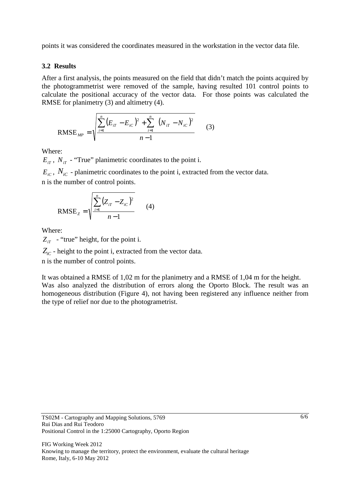points it was considered the coordinates measured in the workstation in the vector data file.

#### **3.2 Results**

After a first analysis, the points measured on the field that didn't match the points acquired by the photogrammetrist were removed of the sample, having resulted 101 control points to calculate the positional accuracy of the vector data. For those points was calculated the RMSE for planimetry (3) and altimetry (4).

RMSE<sub>MP</sub> = 
$$
\sqrt{\frac{\sum_{i=1}^{n} (E_{iT} - E_{iC})^2 + \sum_{i=1}^{n} (N_{iT} - N_{iC})^2}{n-1}}
$$
 (3)

Where:

 $E_{iT}$ ,  $N_{iT}$  - "True" planimetric coordinates to the point i.

 $E_{iC}$ ,  $N_{iC}$  - planimetric coordinates to the point i, extracted from the vector data. n is the number of control points.

RMSE<sub>z</sub> = 
$$
\sqrt{\frac{\sum_{i=1}^{n} (Z_{ir} - Z_{ic})^2}{n-1}}
$$
 (4)

Where:

 $Z_{ir}$  - "true" height, for the point i.

 $Z_{iC}$  - height to the point i, extracted from the vector data.

n is the number of control points.

It was obtained a RMSE of 1,02 m for the planimetry and a RMSE of 1,04 m for the height. Was also analyzed the distribution of errors along the Oporto Block. The result was an homogeneous distribution (Figure 4), not having been registered any influence neither from the type of relief nor due to the photogrametrist.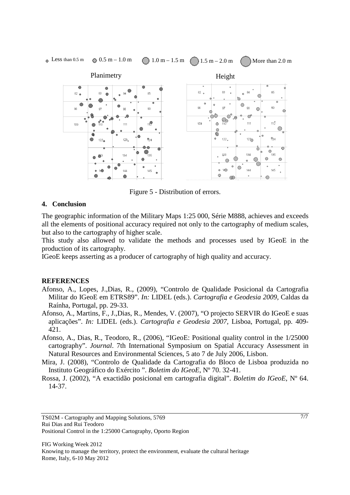

Figure 5 - Distribution of errors.

#### **4. Conclusion**

The geographic information of the Military Maps 1:25 000, Série M888, achieves and exceeds all the elements of positional accuracy required not only to the cartography of medium scales, but also to the cartography of higher scale.

This study also allowed to validate the methods and processes used by IGeoE in the production of its cartography.

IGeoE keeps asserting as a producer of cartography of high quality and accuracy.

#### **REFERENCES**

- Afonso, A., Lopes, J.,Dias, R., (2009), "Controlo de Qualidade Posicional da Cartografia Militar do IGeoE em ETRS89". *In:* LIDEL (eds.). *Cartografia e Geodesia 2009,* Caldas da Raínha, Portugal, pp. 29-33.
- Afonso, A., Martins, F., J.,Dias, R., Mendes, V. (2007), "O projecto SERVIR do IGeoE e suas aplicações". *In:* LIDEL (eds.). *Cartografia e Geodesia 2007,* Lisboa, Portugal, pp. 409- 421.
- Afonso, A., Dias, R., Teodoro, R., (2006), "IGeoE: Positional quality control in the 1/25000 cartography". *Journal*. 7th International Symposium on Spatial Accuracy Assessment in Natural Resources and Environmental Sciences, 5 ato 7 de July 2006, Lisbon.
- Mira, J. (2008), "Controlo de Qualidade da Cartografia do Bloco de Lisboa produzida no Instituto Geográfico do Exército ". *Boletim do IGeoE*, Nº 70. 32-41.
- Rossa, J. (2002), "A exactidão posicional em cartografia digital". *Boletim do IGeoE*, Nº 64. 14-37.